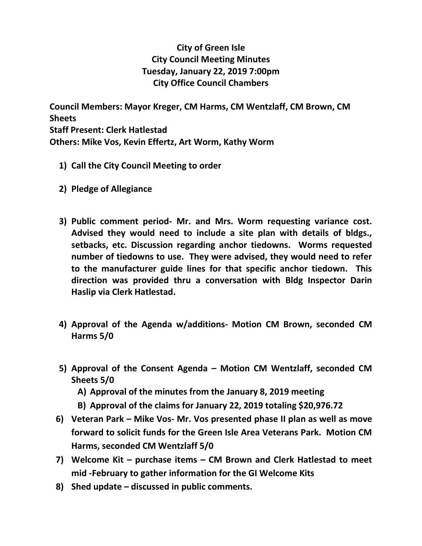## **City of Green Isle City Council Meeting Minutes Tuesday, January 22, 2019 7:00pm City Office Council Chambers**

**Council Members: Mayor Kreger, CM Harms, CM Wentzlaff, CM Brown, CM Sheets Staff Present: Clerk Hatlestad Others: Mike Vos, Kevin Effertz, Art Worm, Kathy Worm**

- **1) Call the City Council Meeting to order**
- **2) Pledge of Allegiance**
- **3) Public comment period- Mr. and Mrs. Worm requesting variance cost. Advised they would need to include a site plan with details of bldgs., setbacks, etc. Discussion regarding anchor tiedowns. Worms requested number of tiedowns to use. They were advised, they would need to refer to the manufacturer guide lines for that specific anchor tiedown. This direction was provided thru a conversation with Bldg Inspector Darin Haslip via Clerk Hatlestad.**
- **4) Approval of the Agenda w/additions- Motion CM Brown, seconded CM Harms 5/0**
- **5) Approval of the Consent Agenda – Motion CM Wentzlaff, seconded CM Sheets 5/0**
	- **A) Approval of the minutes from the January 8, 2019 meeting**
	- **B) Approval of the claims for January 22, 2019 totaling \$20,976.72**
- **6) Veteran Park – Mike Vos- Mr. Vos presented phase II plan as well as move forward to solicit funds for the Green Isle Area Veterans Park. Motion CM Harms, seconded CM Wentzlaff 5/0**
- **7) Welcome Kit – purchase items – CM Brown and Clerk Hatlestad to meet mid -February to gather information for the GI Welcome Kits**
- **8) Shed update – discussed in public comments.**